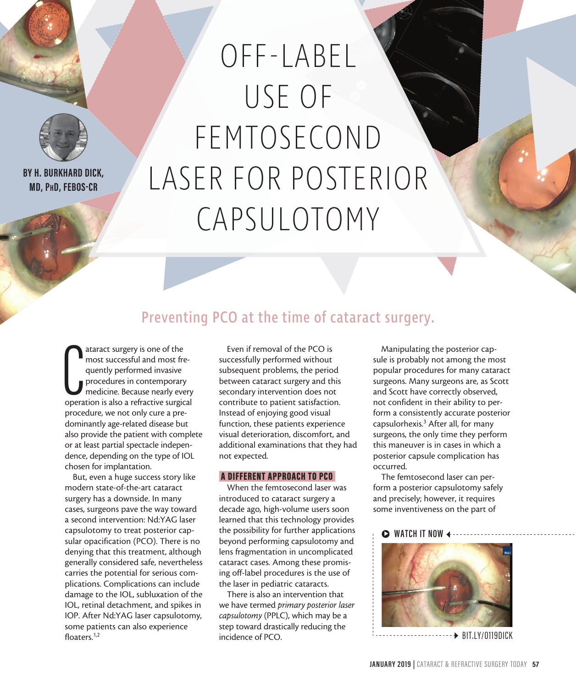

**BY H. BURKHARD DICK, MD, PhD, FEBOS-CR**

# OFF-LABEL USE OF FEMTOSECOND LASER FOR POSTERIOR CAPSULOTOMY

### Preventing PCO at the time of cataract surgery.

ataract surgery is one of the<br>most successful and most fre-<br>quently performed invasive<br>procedures in contemporary<br>medicine. Because nearly every<br>operation is also a refractive surgical ataract surgery is one of the most successful and most frequently performed invasive procedures in contemporary medicine. Because nearly every procedure, we not only cure a predominantly age-related disease but also provide the patient with complete or at least partial spectacle independence, depending on the type of IOL chosen for implantation.

But, even a huge success story like modern state-of-the-art cataract surgery has a downside. In many cases, surgeons pave the way toward a second intervention: Nd:YAG laser capsulotomy to treat posterior capsular opacification (PCO). There is no denying that this treatment, although generally considered safe, nevertheless carries the potential for serious complications. Complications can include damage to the IOL, subluxation of the IOL, retinal detachment, and spikes in IOP. After Nd:YAG laser capsulotomy, some patients can also experience floaters.<sup>1,2</sup>

Even if removal of the PCO is successfully performed without subsequent problems, the period between cataract surgery and this secondary intervention does not contribute to patient satisfaction. Instead of enjoying good visual function, these patients experience visual deterioration, discomfort, and additional examinations that they had not expected.

#### A DIFFERENT APPROACH TO PCO

When the femtosecond laser was introduced to cataract surgery a decade ago, high-volume users soon learned that this technology provides the possibility for further applications beyond performing capsulotomy and lens fragmentation in uncomplicated cataract cases. Among these promising off-label procedures is the use of the laser in pediatric cataracts.

There is also an intervention that we have termed *primary posterior laser capsulotomy* (PPLC), which may be a step toward drastically reducing the incidence of PCO.

Manipulating the posterior capsule is probably not among the most popular procedures for many cataract surgeons. Many surgeons are, as Scott and Scott have correctly observed, not confident in their ability to perform a consistently accurate posterior capsulorhexis.<sup>3</sup> After all, for many surgeons, the only time they perform this maneuver is in cases in which a posterior capsule complication has occurred.

The femtosecond laser can perform a posterior capsulotomy safely and precisely; however, it requires some inventiveness on the part of

#### $\triangleright$  WATCH IT NOW



 $\rightarrow$  BIT.IY/0119DICK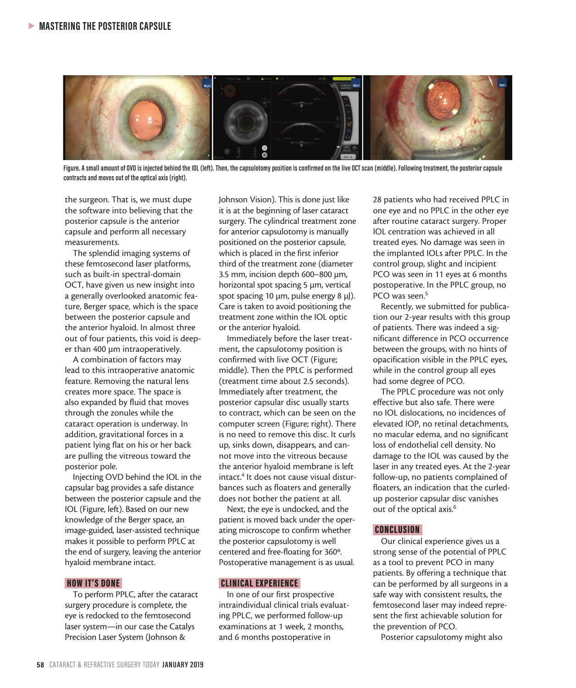

**Figure. A small amount of OVD is injected behind the IOL (left). Then, the capsulotomy position is confirmed on the live OCT scan (middle). Following treatment, the posterior capsule contracts and moves out of the optical axis (right).**

the surgeon. That is, we must dupe the software into believing that the posterior capsule is the anterior capsule and perform all necessary measurements.

The splendid imaging systems of these femtosecond laser platforms, such as built-in spectral-domain OCT, have given us new insight into a generally overlooked anatomic feature, Berger space, which is the space between the posterior capsule and the anterior hyaloid. In almost three out of four patients, this void is deeper than 400 µm intraoperatively.

A combination of factors may lead to this intraoperative anatomic feature. Removing the natural lens creates more space. The space is also expanded by fluid that moves through the zonules while the cataract operation is underway. In addition, gravitational forces in a patient lying flat on his or her back are pulling the vitreous toward the posterior pole.

Injecting OVD behind the IOL in the capsular bag provides a safe distance between the posterior capsule and the IOL (Figure, left). Based on our new knowledge of the Berger space, an image-guided, laser-assisted technique makes it possible to perform PPLC at the end of surgery, leaving the anterior hyaloid membrane intact.

#### HOW IT'S DONE

To perform PPLC, after the cataract surgery procedure is complete, the eye is redocked to the femtosecond laser system—in our case the Catalys Precision Laser System (Johnson &

Johnson Vision). This is done just like it is at the beginning of laser cataract surgery. The cylindrical treatment zone for anterior capsulotomy is manually positioned on the posterior capsule, which is placed in the first inferior third of the treatment zone (diameter 3.5 mm, incision depth 600–800 µm, horizontal spot spacing 5 µm, vertical spot spacing 10 µm, pulse energy 8 µJ). Care is taken to avoid positioning the treatment zone within the IOL optic or the anterior hyaloid.

Immediately before the laser treatment, the capsulotomy position is confirmed with live OCT (Figure; middle). Then the PPLC is performed (treatment time about 2.5 seconds). Immediately after treatment, the posterior capsular disc usually starts to contract, which can be seen on the computer screen (Figure; right). There is no need to remove this disc. It curls up, sinks down, disappears, and cannot move into the vitreous because the anterior hyaloid membrane is left intact.<sup>4</sup> It does not cause visual disturbances such as floaters and generally does not bother the patient at all.

Next, the eye is undocked, and the patient is moved back under the operating microscope to confirm whether the posterior capsulotomy is well centered and free-floating for 360º. Postoperative management is as usual.

#### CLINICAL EXPERIENCE

In one of our first prospective intraindividual clinical trials evaluating PPLC, we performed follow-up examinations at 1 week, 2 months, and 6 months postoperative in

28 patients who had received PPLC in one eye and no PPLC in the other eye after routine cataract surgery. Proper IOL centration was achieved in all treated eyes. No damage was seen in the implanted IOLs after PPLC. In the control group, slight and incipient PCO was seen in 11 eyes at 6 months postoperative. In the PPLC group, no PCO was seen.<sup>5</sup>

Recently, we submitted for publication our 2-year results with this group of patients. There was indeed a significant difference in PCO occurrence between the groups, with no hints of opacification visible in the PPLC eyes, while in the control group all eyes had some degree of PCO.

The PPLC procedure was not only effective but also safe. There were no IOL dislocations, no incidences of elevated IOP, no retinal detachments, no macular edema, and no significant loss of endothelial cell density. No damage to the IOL was caused by the laser in any treated eyes. At the 2-year follow-up, no patients complained of floaters, an indication that the curledup posterior capsular disc vanishes out of the optical axis.<sup>6</sup>

#### CONCLUSION

Our clinical experience gives us a strong sense of the potential of PPLC as a tool to prevent PCO in many patients. By offering a technique that can be performed by all surgeons in a safe way with consistent results, the femtosecond laser may indeed represent the first achievable solution for the prevention of PCO.

Posterior capsulotomy might also